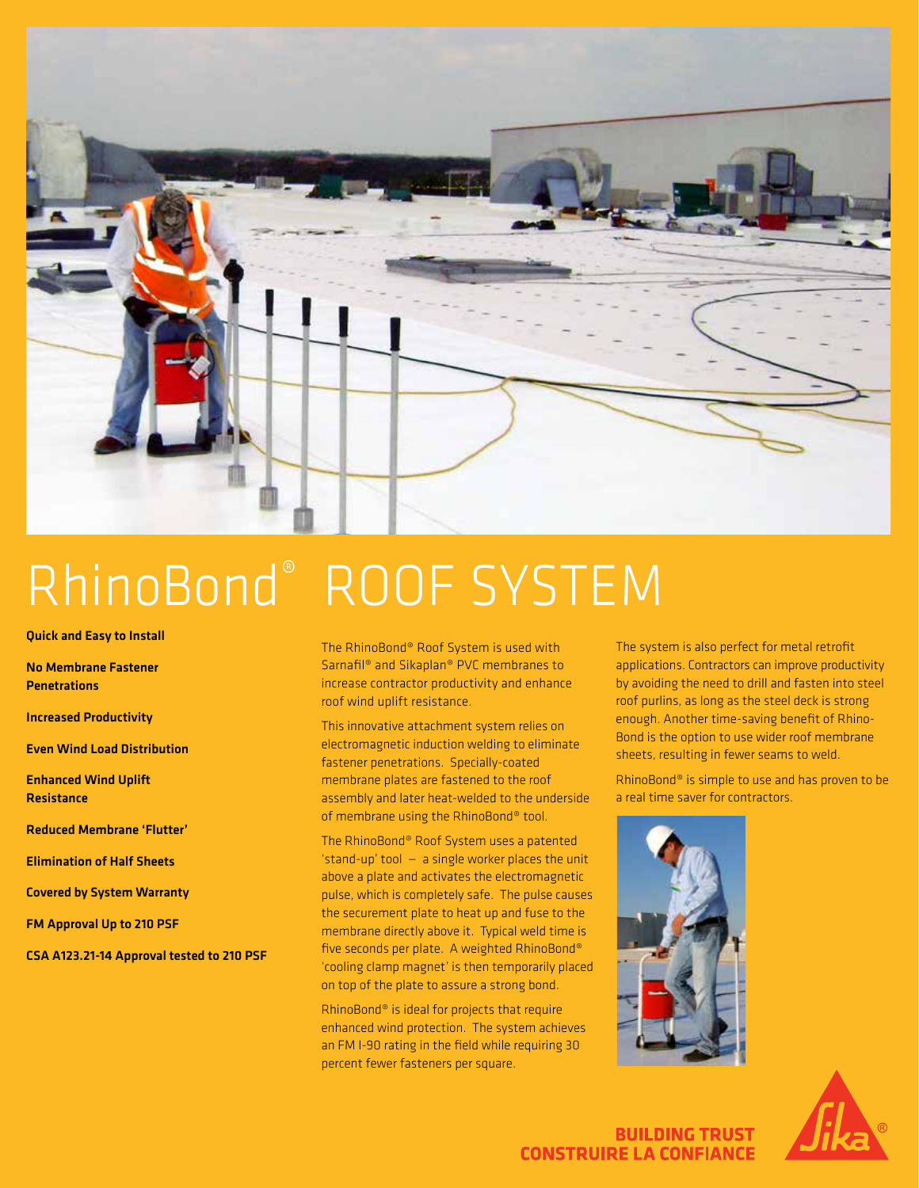

# RhinoBond® ROOF SYSTEM

## Quick and Easy to Install

No Membrane Fastener **Penetrations** 

Increased Productivity

Even Wind Load Distribution

Enhanced Wind Uplift **Resistance** 

Reduced Membrane 'Flutter'

Elimination of Half Sheets

Covered by System Warranty

FM Approval Up to 210 PSF

CSA A123.21-14 Approval tested to 210 PSF

The RhinoBond® Roof System is used with Sarnafil® and Sikaplan® PVC membranes to increase contractor productivity and enhance roof wind uplift resistance.

This innovative attachment system relies on electromagnetic induction welding to eliminate fastener penetrations. Specially-coated membrane plates are fastened to the roof assembly and later heat-welded to the underside of membrane using the RhinoBond® tool.

The RhinoBond® Roof System uses a patented 'stand-up' tool — a single worker places the unit above a plate and activates the electromagnetic pulse, which is completely safe. The pulse causes the securement plate to heat up and fuse to the membrane directly above it. Typical weld time is five seconds per plate. A weighted RhinoBond® 'cooling clamp magnet' is then temporarily placed on top of the plate to assure a strong bond.

RhinoBond® is ideal for projects that require enhanced wind protection. The system achieves an FM I-90 rating in the field while requiring 30 percent fewer fasteners per square.

The system is also perfect for metal retrofit applications. Contractors can improve productivity by avoiding the need to drill and fasten into steel roof purlins, as long as the steel deck is strong enough. Another time-saving benefit of Rhino-Bond is the option to use wider roof membrane sheets, resulting in fewer seams to weld.

RhinoBond® is simple to use and has proven to be a real time saver for contractors.





**BUILDING TRUST CONSTRUIRE LA CONFIANCE**